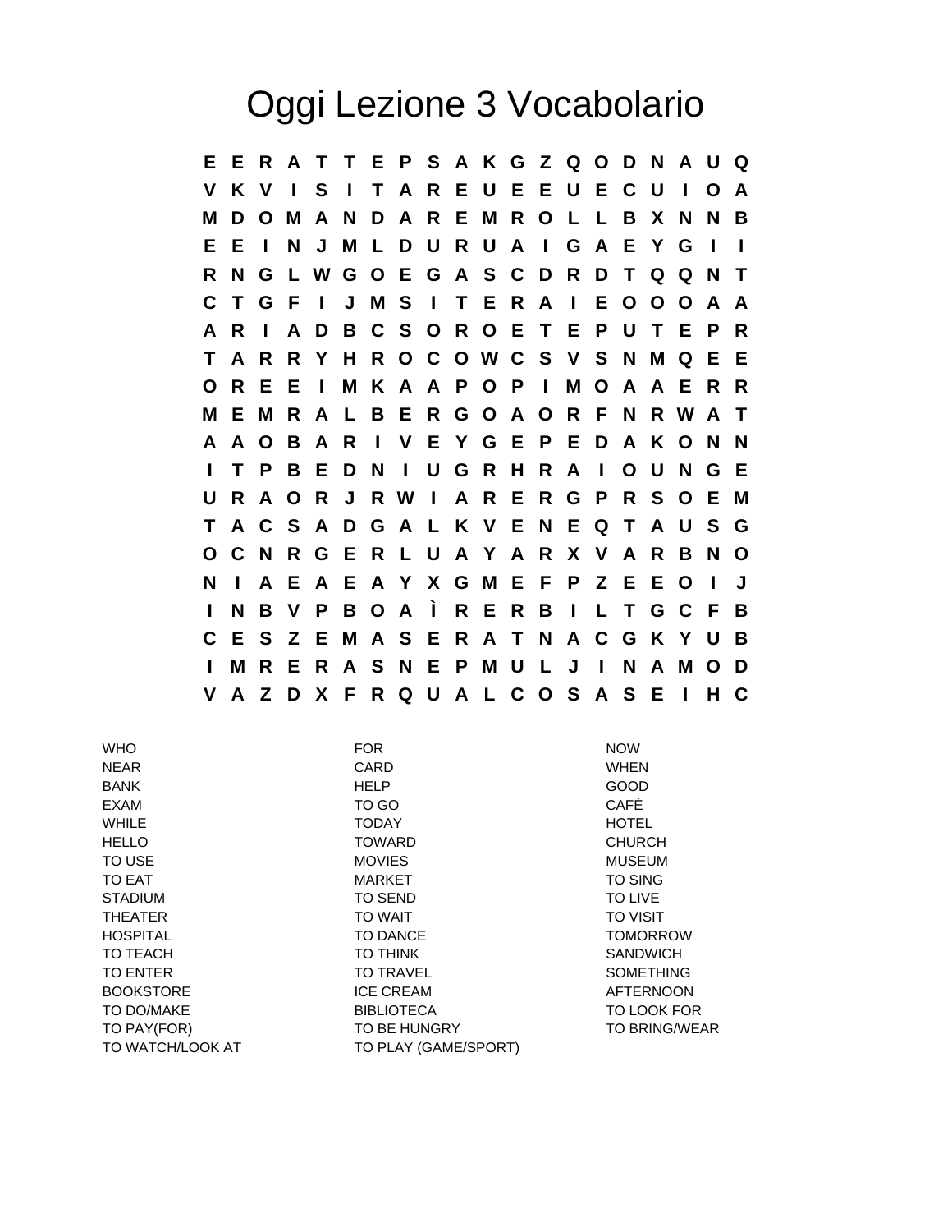## Oggi Lezione 3 Vocabolario

**E E R A T T E P S A K G Z Q O D N A U Q V K V I S I T A R E U E E U E C U I O A M D O M A N D A R E M R O L L B X N N B E E I N J M L D U R U A I G A E Y G I I R N G L W G O E G A S C D R D T Q Q N T C T G F I J M S I T E R A I E O O O A A A R I A D B C S O R O E T E P U T E P R T A R R Y H R O C O W C S V S N M Q E E O R E E I M K A A P O P I M O A A E R R M E M R A L B E R G O A O R F N R W A T A A O B A R I V E Y G E P E D A K O N N I T P B E D N I U G R H R A I O U N G E U R A O R J R W I A R E R G P R S O E M T A C S A D G A L K V E N E Q T A U S G O C N R G E R L U A Y A R X V A R B N O N I A E A E A Y X G M E F P Z E E O I J I N B V P B O A Ì R E R B I L T G C F B C E S Z E M A S E R A T N A C G K Y U B I M R E R A S N E P M U L J I N A M O D V A Z D X F R Q U A L C O S A S E I H C**

| <b>WHO</b>       | <b>FOR</b>           | <b>NOW</b>           |
|------------------|----------------------|----------------------|
| <b>NEAR</b>      | CARD                 | <b>WHEN</b>          |
| <b>BANK</b>      | <b>HELP</b>          | <b>GOOD</b>          |
| EXAM             | TO GO                | CAFÉ                 |
| <b>WHILE</b>     | <b>TODAY</b>         | <b>HOTEL</b>         |
| <b>HELLO</b>     | <b>TOWARD</b>        | <b>CHURCH</b>        |
| TO USE           | <b>MOVIES</b>        | <b>MUSEUM</b>        |
| TO EAT           | <b>MARKET</b>        | <b>TO SING</b>       |
| <b>STADIUM</b>   | <b>TO SEND</b>       | TO LIVE              |
| <b>THEATER</b>   | <b>TO WAIT</b>       | <b>TO VISIT</b>      |
| <b>HOSPITAL</b>  | <b>TO DANCE</b>      | <b>TOMORROW</b>      |
| TO TEACH         | <b>TO THINK</b>      | <b>SANDWICH</b>      |
| <b>TO ENTER</b>  | <b>TO TRAVEL</b>     | <b>SOMETHING</b>     |
| <b>BOOKSTORE</b> | <b>ICE CREAM</b>     | <b>AFTERNOON</b>     |
| TO DO/MAKE       | <b>BIBLIOTECA</b>    | TO LOOK FOR          |
| TO PAY(FOR)      | TO BE HUNGRY         | <b>TO BRING/WEAR</b> |
| TO WATCH/LOOK AT | TO PLAY (GAME/SPORT) |                      |